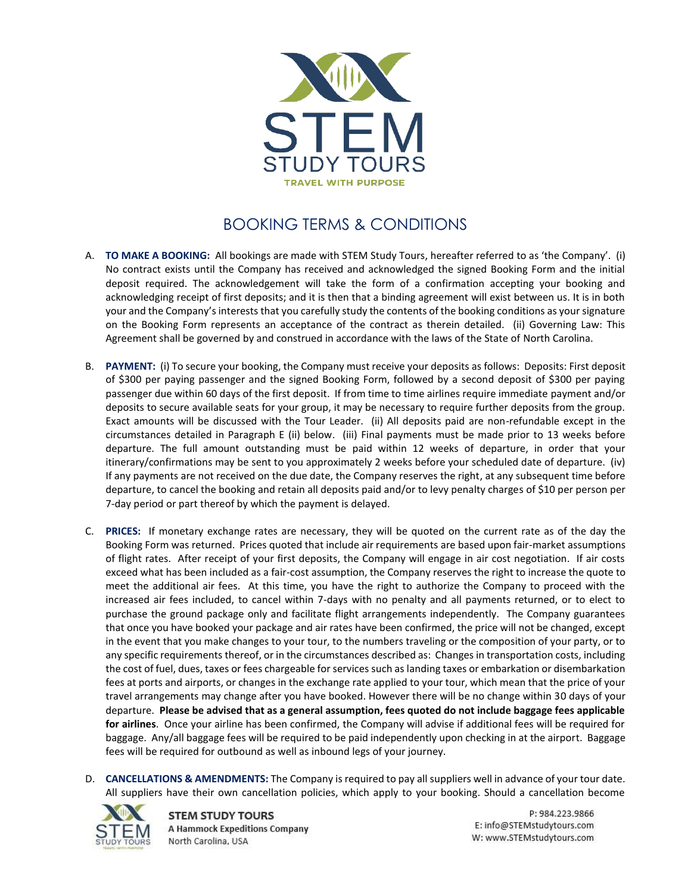

## BOOKING TERMS & CONDITIONS

- A. **TO MAKE A BOOKING:** All bookings are made with STEM Study Tours, hereafter referred to as 'the Company'. (i) No contract exists until the Company has received and acknowledged the signed Booking Form and the initial deposit required. The acknowledgement will take the form of a confirmation accepting your booking and acknowledging receipt of first deposits; and it is then that a binding agreement will exist between us. It is in both your and the Company's interests that you carefully study the contents of the booking conditions as your signature on the Booking Form represents an acceptance of the contract as therein detailed. (ii) Governing Law: This Agreement shall be governed by and construed in accordance with the laws of the State of North Carolina.
- B. **PAYMENT:** (i) To secure your booking, the Company must receive your deposits as follows: Deposits: First deposit of \$300 per paying passenger and the signed Booking Form, followed by a second deposit of \$300 per paying passenger due within 60 days of the first deposit. If from time to time airlines require immediate payment and/or deposits to secure available seats for your group, it may be necessary to require further deposits from the group. Exact amounts will be discussed with the Tour Leader. (ii) All deposits paid are non-refundable except in the circumstances detailed in Paragraph E (ii) below. (iii) Final payments must be made prior to 13 weeks before departure. The full amount outstanding must be paid within 12 weeks of departure, in order that your itinerary/confirmations may be sent to you approximately 2 weeks before your scheduled date of departure. (iv) If any payments are not received on the due date, the Company reserves the right, at any subsequent time before departure, to cancel the booking and retain all deposits paid and/or to levy penalty charges of \$10 per person per 7-day period or part thereof by which the payment is delayed.
- C. **PRICES:** If monetary exchange rates are necessary, they will be quoted on the current rate as of the day the Booking Form was returned. Prices quoted that include air requirements are based upon fair-market assumptions of flight rates. After receipt of your first deposits, the Company will engage in air cost negotiation. If air costs exceed what has been included as a fair-cost assumption, the Company reserves the right to increase the quote to meet the additional air fees. At this time, you have the right to authorize the Company to proceed with the increased air fees included, to cancel within 7-days with no penalty and all payments returned, or to elect to purchase the ground package only and facilitate flight arrangements independently. The Company guarantees that once you have booked your package and air rates have been confirmed, the price will not be changed, except in the event that you make changes to your tour, to the numbers traveling or the composition of your party, or to any specific requirements thereof, or in the circumstances described as: Changes in transportation costs, including the cost of fuel, dues, taxes or fees chargeable for services such as landing taxes or embarkation or disembarkation fees at ports and airports, or changes in the exchange rate applied to your tour, which mean that the price of your travel arrangements may change after you have booked. However there will be no change within 30 days of your departure. **Please be advised that as a general assumption, fees quoted do not include baggage fees applicable for airlines**. Once your airline has been confirmed, the Company will advise if additional fees will be required for baggage. Any/all baggage fees will be required to be paid independently upon checking in at the airport. Baggage fees will be required for outbound as well as inbound legs of your journey.
- D. **CANCELLATIONS & AMENDMENTS:** The Company is required to pay all suppliers well in advance of your tour date. All suppliers have their own cancellation policies, which apply to your booking. Should a cancellation become



**STEM STUDY TOURS A Hammock Expeditions Company** North Carolina, USA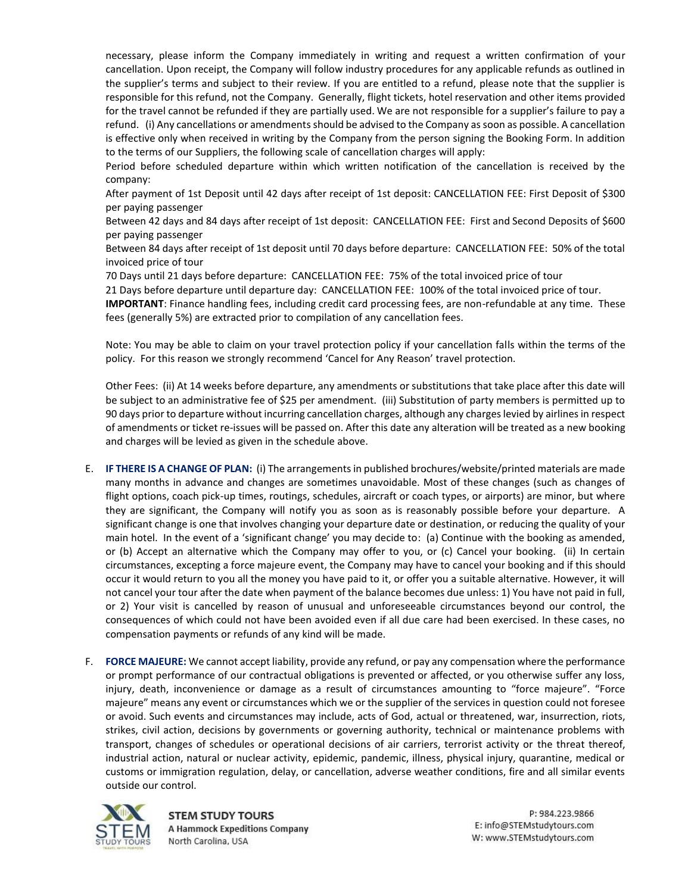necessary, please inform the Company immediately in writing and request a written confirmation of your cancellation. Upon receipt, the Company will follow industry procedures for any applicable refunds as outlined in the supplier's terms and subject to their review. If you are entitled to a refund, please note that the supplier is responsible for this refund, not the Company. Generally, flight tickets, hotel reservation and other items provided for the travel cannot be refunded if they are partially used. We are not responsible for a supplier's failure to pay a refund. (i) Any cancellations or amendments should be advised to the Company as soon as possible. A cancellation is effective only when received in writing by the Company from the person signing the Booking Form. In addition to the terms of our Suppliers, the following scale of cancellation charges will apply:

Period before scheduled departure within which written notification of the cancellation is received by the company:

After payment of 1st Deposit until 42 days after receipt of 1st deposit: CANCELLATION FEE: First Deposit of \$300 per paying passenger

Between 42 days and 84 days after receipt of 1st deposit: CANCELLATION FEE: First and Second Deposits of \$600 per paying passenger

Between 84 days after receipt of 1st deposit until 70 days before departure: CANCELLATION FEE: 50% of the total invoiced price of tour

70 Days until 21 days before departure: CANCELLATION FEE: 75% of the total invoiced price of tour

21 Days before departure until departure day: CANCELLATION FEE: 100% of the total invoiced price of tour.

**IMPORTANT**: Finance handling fees, including credit card processing fees, are non-refundable at any time. These fees (generally 5%) are extracted prior to compilation of any cancellation fees.

Note: You may be able to claim on your travel protection policy if your cancellation falls within the terms of the policy. For this reason we strongly recommend 'Cancel for Any Reason' travel protection.

Other Fees: (ii) At 14 weeks before departure, any amendments or substitutions that take place after this date will be subject to an administrative fee of \$25 per amendment. (iii) Substitution of party members is permitted up to 90 days prior to departure without incurring cancellation charges, although any charges levied by airlines in respect of amendments or ticket re-issues will be passed on. After this date any alteration will be treated as a new booking and charges will be levied as given in the schedule above.

- E. **IF THERE IS A CHANGE OF PLAN:** (i) The arrangements in published brochures/website/printed materials are made many months in advance and changes are sometimes unavoidable. Most of these changes (such as changes of flight options, coach pick-up times, routings, schedules, aircraft or coach types, or airports) are minor, but where they are significant, the Company will notify you as soon as is reasonably possible before your departure. A significant change is one that involves changing your departure date or destination, or reducing the quality of your main hotel. In the event of a 'significant change' you may decide to: (a) Continue with the booking as amended, or (b) Accept an alternative which the Company may offer to you, or (c) Cancel your booking. (ii) In certain circumstances, excepting a force majeure event, the Company may have to cancel your booking and if this should occur it would return to you all the money you have paid to it, or offer you a suitable alternative. However, it will not cancel your tour after the date when payment of the balance becomes due unless: 1) You have not paid in full, or 2) Your visit is cancelled by reason of unusual and unforeseeable circumstances beyond our control, the consequences of which could not have been avoided even if all due care had been exercised. In these cases, no compensation payments or refunds of any kind will be made.
- F. **FORCE MAJEURE:** We cannot accept liability, provide any refund, or pay any compensation where the performance or prompt performance of our contractual obligations is prevented or affected, or you otherwise suffer any loss, injury, death, inconvenience or damage as a result of circumstances amounting to "force majeure". "Force majeure" means any event or circumstances which we or the supplier of the services in question could not foresee or avoid. Such events and circumstances may include, acts of God, actual or threatened, war, insurrection, riots, strikes, civil action, decisions by governments or governing authority, technical or maintenance problems with transport, changes of schedules or operational decisions of air carriers, terrorist activity or the threat thereof, industrial action, natural or nuclear activity, epidemic, pandemic, illness, physical injury, quarantine, medical or customs or immigration regulation, delay, or cancellation, adverse weather conditions, fire and all similar events outside our control.



**STEM STUDY TOURS A Hammock Expeditions Company** North Carolina, USA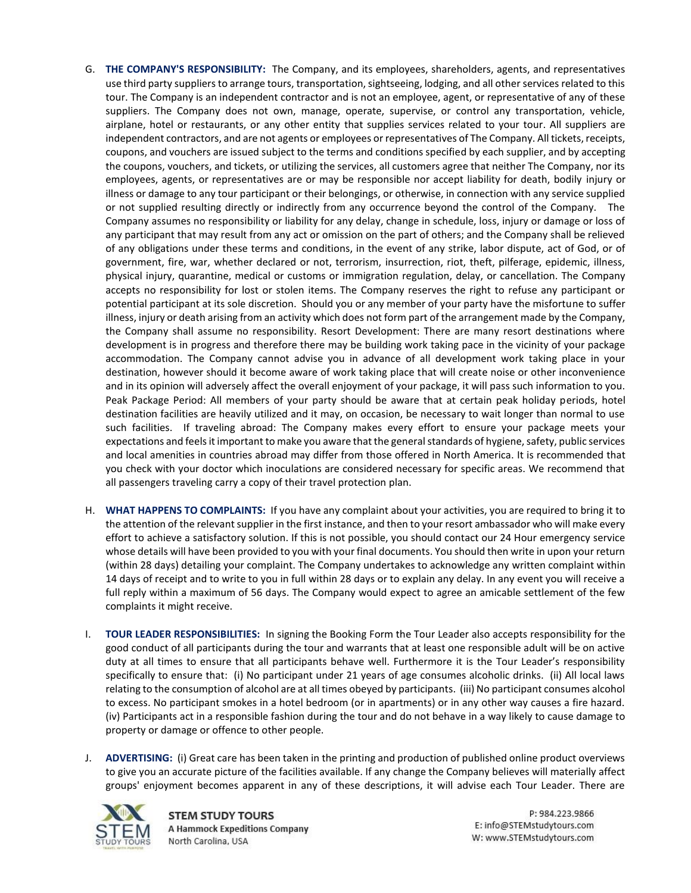- G. **THE COMPANY'S RESPONSIBILITY:** The Company, and its employees, shareholders, agents, and representatives use third party suppliers to arrange tours, transportation, sightseeing, lodging, and all other services related to this tour. The Company is an independent contractor and is not an employee, agent, or representative of any of these suppliers. The Company does not own, manage, operate, supervise, or control any transportation, vehicle, airplane, hotel or restaurants, or any other entity that supplies services related to your tour. All suppliers are independent contractors, and are not agents or employees or representatives of The Company. All tickets, receipts, coupons, and vouchers are issued subject to the terms and conditions specified by each supplier, and by accepting the coupons, vouchers, and tickets, or utilizing the services, all customers agree that neither The Company, nor its employees, agents, or representatives are or may be responsible nor accept liability for death, bodily injury or illness or damage to any tour participant or their belongings, or otherwise, in connection with any service supplied or not supplied resulting directly or indirectly from any occurrence beyond the control of the Company. The Company assumes no responsibility or liability for any delay, change in schedule, loss, injury or damage or loss of any participant that may result from any act or omission on the part of others; and the Company shall be relieved of any obligations under these terms and conditions, in the event of any strike, labor dispute, act of God, or of government, fire, war, whether declared or not, terrorism, insurrection, riot, theft, pilferage, epidemic, illness, physical injury, quarantine, medical or customs or immigration regulation, delay, or cancellation. The Company accepts no responsibility for lost or stolen items. The Company reserves the right to refuse any participant or potential participant at its sole discretion. Should you or any member of your party have the misfortune to suffer illness, injury or death arising from an activity which does not form part of the arrangement made by the Company, the Company shall assume no responsibility. Resort Development: There are many resort destinations where development is in progress and therefore there may be building work taking pace in the vicinity of your package accommodation. The Company cannot advise you in advance of all development work taking place in your destination, however should it become aware of work taking place that will create noise or other inconvenience and in its opinion will adversely affect the overall enjoyment of your package, it will pass such information to you. Peak Package Period: All members of your party should be aware that at certain peak holiday periods, hotel destination facilities are heavily utilized and it may, on occasion, be necessary to wait longer than normal to use such facilities. If traveling abroad: The Company makes every effort to ensure your package meets your expectations and feels it important to make you aware that the general standards of hygiene, safety, public services and local amenities in countries abroad may differ from those offered in North America. It is recommended that you check with your doctor which inoculations are considered necessary for specific areas. We recommend that all passengers traveling carry a copy of their travel protection plan.
- H. **WHAT HAPPENS TO COMPLAINTS:** If you have any complaint about your activities, you are required to bring it to the attention of the relevant supplier in the first instance, and then to your resort ambassador who will make every effort to achieve a satisfactory solution. If this is not possible, you should contact our 24 Hour emergency service whose details will have been provided to you with your final documents. You should then write in upon your return (within 28 days) detailing your complaint. The Company undertakes to acknowledge any written complaint within 14 days of receipt and to write to you in full within 28 days or to explain any delay. In any event you will receive a full reply within a maximum of 56 days. The Company would expect to agree an amicable settlement of the few complaints it might receive.
- I. **TOUR LEADER RESPONSIBILITIES:** In signing the Booking Form the Tour Leader also accepts responsibility for the good conduct of all participants during the tour and warrants that at least one responsible adult will be on active duty at all times to ensure that all participants behave well. Furthermore it is the Tour Leader's responsibility specifically to ensure that: (i) No participant under 21 years of age consumes alcoholic drinks. (ii) All local laws relating to the consumption of alcohol are at all times obeyed by participants. (iii) No participant consumes alcohol to excess. No participant smokes in a hotel bedroom (or in apartments) or in any other way causes a fire hazard. (iv) Participants act in a responsible fashion during the tour and do not behave in a way likely to cause damage to property or damage or offence to other people.
- J. **ADVERTISING:** (i) Great care has been taken in the printing and production of published online product overviews to give you an accurate picture of the facilities available. If any change the Company believes will materially affect groups' enjoyment becomes apparent in any of these descriptions, it will advise each Tour Leader. There are



**STEM STUDY TOURS A Hammock Expeditions Company** North Carolina, USA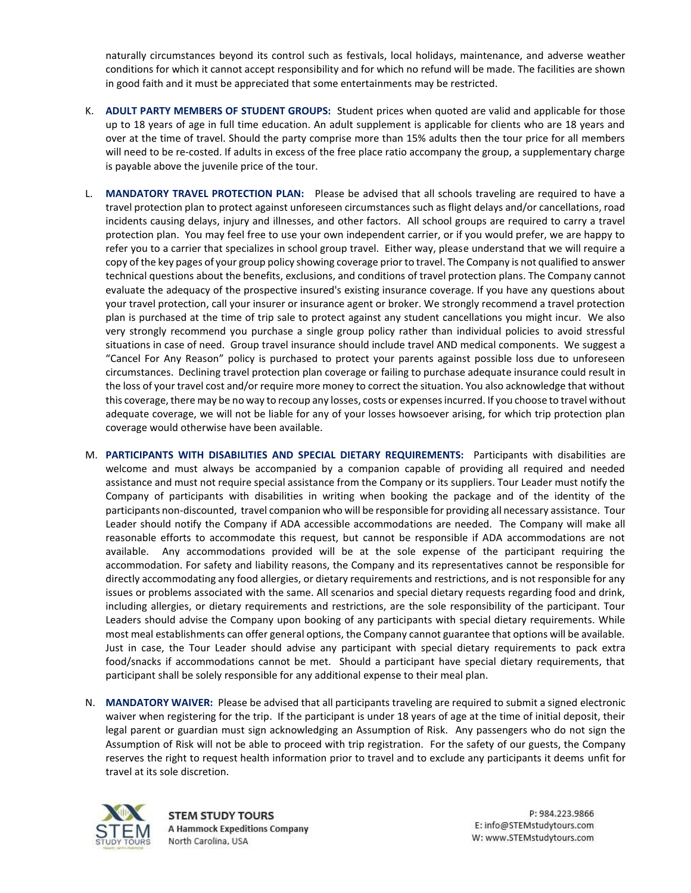naturally circumstances beyond its control such as festivals, local holidays, maintenance, and adverse weather conditions for which it cannot accept responsibility and for which no refund will be made. The facilities are shown in good faith and it must be appreciated that some entertainments may be restricted.

- K. **ADULT PARTY MEMBERS OF STUDENT GROUPS:** Student prices when quoted are valid and applicable for those up to 18 years of age in full time education. An adult supplement is applicable for clients who are 18 years and over at the time of travel. Should the party comprise more than 15% adults then the tour price for all members will need to be re-costed. If adults in excess of the free place ratio accompany the group, a supplementary charge is payable above the juvenile price of the tour.
- L. **MANDATORY TRAVEL PROTECTION PLAN:** Please be advised that all schools traveling are required to have a travel protection plan to protect against unforeseen circumstances such as flight delays and/or cancellations, road incidents causing delays, injury and illnesses, and other factors. All school groups are required to carry a travel protection plan. You may feel free to use your own independent carrier, or if you would prefer, we are happy to refer you to a carrier that specializes in school group travel. Either way, please understand that we will require a copy of the key pages of your group policy showing coverage prior to travel. The Company is not qualified to answer technical questions about the benefits, exclusions, and conditions of travel protection plans. The Company cannot evaluate the adequacy of the prospective insured's existing insurance coverage. If you have any questions about your travel protection, call your insurer or insurance agent or broker. We strongly recommend a travel protection plan is purchased at the time of trip sale to protect against any student cancellations you might incur. We also very strongly recommend you purchase a single group policy rather than individual policies to avoid stressful situations in case of need. Group travel insurance should include travel AND medical components. We suggest a "Cancel For Any Reason" policy is purchased to protect your parents against possible loss due to unforeseen circumstances. Declining travel protection plan coverage or failing to purchase adequate insurance could result in the loss of your travel cost and/or require more money to correct the situation. You also acknowledge that without this coverage, there may be no way to recoup any losses, costs or expenses incurred. If you choose to travel without adequate coverage, we will not be liable for any of your losses howsoever arising, for which trip protection plan coverage would otherwise have been available.
- M. **PARTICIPANTS WITH DISABILITIES AND SPECIAL DIETARY REQUIREMENTS:** Participants with disabilities are welcome and must always be accompanied by a companion capable of providing all required and needed assistance and must not require special assistance from the Company or its suppliers. Tour Leader must notify the Company of participants with disabilities in writing when booking the package and of the identity of the participants non-discounted, travel companion who will be responsible for providing all necessary assistance. Tour Leader should notify the Company if ADA accessible accommodations are needed. The Company will make all reasonable efforts to accommodate this request, but cannot be responsible if ADA accommodations are not available. Any accommodations provided will be at the sole expense of the participant requiring the accommodation. For safety and liability reasons, the Company and its representatives cannot be responsible for directly accommodating any food allergies, or dietary requirements and restrictions, and is not responsible for any issues or problems associated with the same. All scenarios and special dietary requests regarding food and drink, including allergies, or dietary requirements and restrictions, are the sole responsibility of the participant. Tour Leaders should advise the Company upon booking of any participants with special dietary requirements. While most meal establishments can offer general options, the Company cannot guarantee that options will be available. Just in case, the Tour Leader should advise any participant with special dietary requirements to pack extra food/snacks if accommodations cannot be met. Should a participant have special dietary requirements, that participant shall be solely responsible for any additional expense to their meal plan.
- N. **MANDATORY WAIVER:** Please be advised that all participants traveling are required to submit a signed electronic waiver when registering for the trip. If the participant is under 18 years of age at the time of initial deposit, their legal parent or guardian must sign acknowledging an Assumption of Risk. Any passengers who do not sign the Assumption of Risk will not be able to proceed with trip registration. For the safety of our guests, the Company reserves the right to request health information prior to travel and to exclude any participants it deems unfit for travel at its sole discretion.



**STEM STUDY TOURS A Hammock Expeditions Company** North Carolina, USA